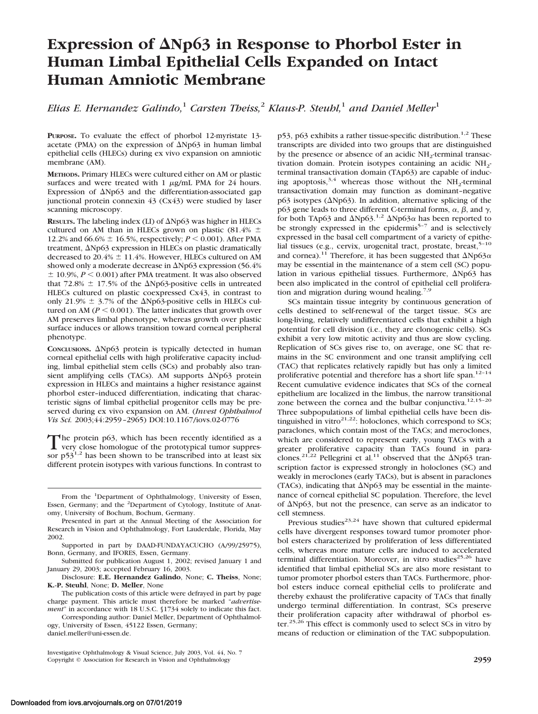# **Expression of Np63 in Response to Phorbol Ester in Human Limbal Epithelial Cells Expanded on Intact Human Amniotic Membrane**

*Elias E. Hernandez Galindo,*<sup>1</sup> *Carsten Theiss,*<sup>2</sup> *Klaus-P. Steuhl,*<sup>1</sup> *and Daniel Meller*<sup>1</sup>

**PURPOSE.** To evaluate the effect of phorbol 12-myristate 13 acetate (PMA) on the expression of  $\Delta Np63$  in human limbal epithelial cells (HLECs) during ex vivo expansion on amniotic membrane (AM).

**METHODS.** Primary HLECs were cultured either on AM or plastic surfaces and were treated with 1  $\mu$ g/mL PMA for 24 hours. Expression of  $\Delta Np63$  and the differentiation-associated gap junctional protein connexin 43 (Cx43) were studied by laser scanning microscopy.

**RESULTS.** The labeling index (LI) of  $\Delta Np63$  was higher in HLECs cultured on AM than in HLECs grown on plastic (81.4%  $\pm$ 12.2% and 66.6%  $\pm$  16.5%, respectively; *P* < 0.001). After PMA treatment,  $\Delta Np63$  expression in HLECs on plastic dramatically decreased to  $20.4\% \pm 11.4\%$ . However, HLECs cultured on AM showed only a moderate decrease in  $\Delta Np63$  expression (56.4%)  $\pm$  10.9%,  $P \le 0.001$ ) after PMA treatment. It was also observed that 72.8%  $\pm$  17.5% of the  $\Delta$ Np63-positive cells in untreated HLECs cultured on plastic coexpressed Cx43, in contrast to only 21.9%  $\pm$  3.7% of the  $\Delta$ Np63-positive cells in HLECs cultured on AM ( $P \le 0.001$ ). The latter indicates that growth over AM preserves limbal phenotype, whereas growth over plastic surface induces or allows transition toward corneal peripheral phenotype.

CONCLUSIONS.  $\Delta Np63$  protein is typically detected in human corneal epithelial cells with high proliferative capacity including, limbal epithelial stem cells (SCs) and probably also transient amplifying cells (TACs). AM supports  $\Delta Np63$  protein expression in HLECs and maintains a higher resistance against phorbol ester–induced differentiation, indicating that characteristic signs of limbal epithelial progenitor cells may be preserved during ex vivo expansion on AM. (*Invest Ophthalmol Vis Sci.* 2003;44:2959–2965) DOI:10.1167/iovs.02-0776

The protein p63, which has been recently identified as a very close homologue of the prototypical tumor suppressor  $p53^{1,2}$  has been shown to be transcribed into at least six different protein isotypes with various functions. In contrast to

Submitted for publication August 1, 2002; revised January 1 and January 29, 2003; accepted February 16, 2003.

Disclosure: **E.E. Hernandez Galindo**, None; **C. Theiss**, None; **K.-P. Steuhl**, None; **D. Meller**, None

The publication costs of this article were defrayed in part by page charge payment. This article must therefore be marked "*advertisement*" in accordance with 18 U.S.C. §1734 solely to indicate this fact.

Corresponding author: Daniel Meller, Department of Ophthalmology, University of Essen, 45122 Essen, Germany; daniel.meller@uni-essen.de.

 $p53$ ,  $p63$  exhibits a rather tissue-specific distribution.<sup>1,2</sup> These transcripts are divided into two groups that are distinguished by the presence or absence of an acidic  $NH<sub>2</sub>$ -terminal transactivation domain. Protein isotypes containing an acidic  $NH<sub>2</sub>$ terminal transactivation domain (TAp63) are capable of inducing apoptosis,  $3.4$  whereas those without the NH<sub>2</sub>-terminal transactivation domain may function as dominant–negative  $p63$  isotypes ( $\Delta Np63$ ). In addition, alternative splicing of the p63 gene leads to three different C-terminal forms,  $\alpha$ ,  $\beta$ , and  $\gamma$ , for both TAp63 and  $\Delta Np63$ .<sup>1,2</sup>  $\Delta Np63\alpha$  has been reported to be strongly expressed in the epidermis<sup>5-7</sup> and is selectively expressed in the basal cell compartment of a variety of epithelial tissues (e.g., cervix, urogenital tract, prostate, breast,<sup>5-10</sup> and cornea).<sup>11</sup> Therefore, it has been suggested that  $\Delta Np63\alpha$ may be essential in the maintenance of a stem cell (SC) population in various epithelial tissues. Furthermore,  $\Delta Np63$  has been also implicated in the control of epithelial cell proliferation and migration during wound healing.<sup>7,9</sup>

SCs maintain tissue integrity by continuous generation of cells destined to self-renewal of the target tissue. SCs are long-living, relatively undifferentiated cells that exhibit a high potential for cell division (i.e., they are clonogenic cells). SCs exhibit a very low mitotic activity and thus are slow cycling. Replication of SCs gives rise to, on average, one SC that remains in the SC environment and one transit amplifying cell (TAC) that replicates relatively rapidly but has only a limited proliferative potential and therefore has a short life span.<sup>12-14</sup> Recent cumulative evidence indicates that SCs of the corneal epithelium are localized in the limbus, the narrow transitional zone between the cornea and the bulbar conjunctiva.<sup>12,15-20</sup> Three subpopulations of limbal epithelial cells have been distinguished in vitro $2^{1,22}$ : holoclones, which correspond to SCs; paraclones, which contain most of the TACs; and meroclones, which are considered to represent early, young TACs with a greater proliferative capacity than TACs found in paraclones.<sup>21,22</sup> Pellegrini et al.<sup>11</sup> observed that the  $\Delta Np63$  transcription factor is expressed strongly in holoclones (SC) and weakly in meroclones (early TACs), but is absent in paraclones (TACs), indicating that  $\Delta Np63$  may be essential in the maintenance of corneal epithelial SC population. Therefore, the level of  $\Delta Np63$ , but not the presence, can serve as an indicator to cell stemness.

Previous studies<sup>23,24</sup> have shown that cultured epidermal cells have divergent responses toward tumor promoter phorbol esters characterized by proliferation of less differentiated cells, whereas more mature cells are induced to accelerated terminal differentiation. Moreover, in vitro studies<sup>25,26</sup> have identified that limbal epithelial SCs are also more resistant to tumor promoter phorbol esters than TACs. Furthermore, phorbol esters induce corneal epithelial cells to proliferate and thereby exhaust the proliferative capacity of TACs that finally undergo terminal differentiation. In contrast, SCs preserve their proliferation capacity after withdrawal of phorbol ester.<sup>25,26</sup> This effect is commonly used to select SCs in vitro by means of reduction or elimination of the TAC subpopulation.

From the <sup>1</sup>Department of Ophthalmology, University of Essen, Essen, Germany; and the <sup>2</sup>Department of Cytology, Institute of Anatomy, University of Bochum, Bochum, Germany.

Presented in part at the Annual Meeting of the Association for Research in Vision and Ophthalmology, Fort Lauderdale, Florida, May 2002.

Supported in part by DAAD-FUNDAYACUCHO (A/99/25975), Bonn, Germany, and IFORES, Essen, Germany.

Investigative Ophthalmology & Visual Science, July 2003, Vol. 44, No. 7 Copyright © Association for Research in Vision and Ophthalmology **2959**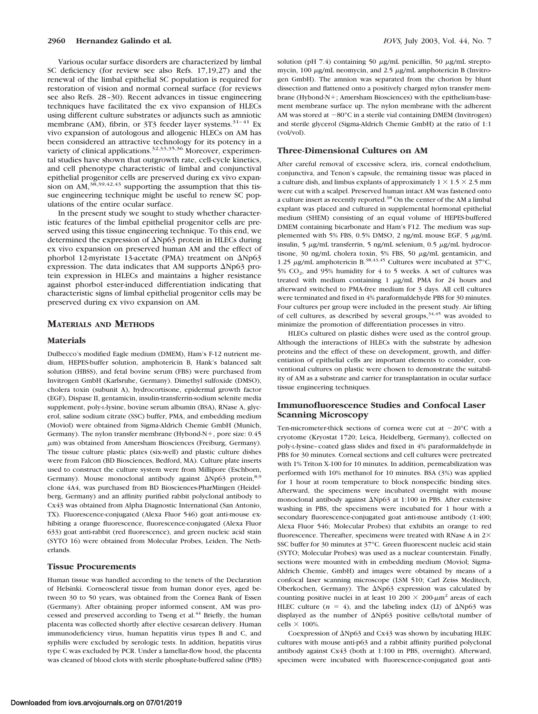Various ocular surface disorders are characterized by limbal SC deficiency (for review see also Refs. 17,19,27) and the renewal of the limbal epithelial SC population is required for restoration of vision and normal corneal surface (for reviews see also Refs. 28-30). Recent advances in tissue engineering techniques have facilitated the ex vivo expansion of HLECs using different culture substrates or adjuncts such as amniotic membrane (AM), fibrin, or 3T3 feeder layer systems.<sup>31-41</sup> Ex vivo expansion of autologous and allogenic HLECs on AM has been considered an attractive technology for its potency in a variety of clinical applications.<sup>32,33,35,36</sup> Moreover, experimental studies have shown that outgrowth rate, cell-cycle kinetics, and cell phenotype characteristic of limbal and conjunctival epithelial progenitor cells are preserved during ex vivo expansion on  $AM$ ,<sup>38,39,42,43</sup> supporting the assumption that this tissue engineering technique might be useful to renew SC populations of the entire ocular surface.

In the present study we sought to study whether characteristic features of the limbal epithelial progenitor cells are preserved using this tissue engineering technique. To this end, we determined the expression of  $\Delta Np63$  protein in HLECs during ex vivo expansion on preserved human AM and the effect of phorbol 12-myristate 13-acetate (PMA) treatment on ΔNp63 expression. The data indicates that AM supports  $\Delta Np63$  protein expression in HLECs and maintains a higher resistance against phorbol ester-induced differentiation indicating that characteristic signs of limbal epithelial progenitor cells may be preserved during ex vivo expansion on AM.

## **MATERIALS AND METHODS**

#### **Materials**

Dulbecco's modified Eagle medium (DMEM), Ham's F-12 nutrient medium, HEPES-buffer solution, amphotericin B, Hank's balanced salt solution (HBSS), and fetal bovine serum (FBS) were purchased from Invitrogen GmbH (Karlsruhe, Germany). Dimethyl sulfoxide (DMSO), cholera toxin (subunit A), hydrocortisone, epidermal growth factor (EGF), Dispase II, gentamicin, insulin-transferrin-sodium selenite media supplement, poly-L-lysine, bovine serum albumin (BSA), RNase A, glycerol, saline sodium citrate (SSC) buffer, PMA, and embedding medium (Moviol) were obtained from Sigma-Aldrich Chemie GmbH (Munich, Germany). The nylon transfer membrane (Hybond-N+, pore size:  $0.45$ )  $\mu$ m) was obtained from Amersham Biosciences (Freiburg, Germany). The tissue culture plastic plates (six-well) and plastic culture dishes were from Falcon (BD Biosciences, Bedford, MA). Culture plate inserts used to construct the culture system were from Millipore (Eschborn, Germany). Mouse monoclonal antibody against  $\Delta Np63$  protein,<sup>8,9</sup> clone 4A4, was purchased from BD Biosciences-PharMingen (Heidelberg, Germany) and an affinity purified rabbit polyclonal antibody to Cx43 was obtained from Alpha Diagnostic International (San Antonio, TX). Fluorescence-conjugated (Alexa Fluor 546) goat anti-mouse exhibiting a orange fluorescence, fluorescence-conjugated (Alexa Fluor 633) goat anti-rabbit (red fluorescence), and green nucleic acid stain (SYTO 16) were obtained from Molecular Probes, Leiden, The Netherlands.

#### **Tissue Procurements**

Human tissue was handled according to the tenets of the Declaration of Helsinki. Corneoscleral tissue from human donor eyes, aged between 30 to 50 years, was obtained from the Cornea Bank of Essen (Germany). After obtaining proper informed consent, AM was processed and preserved according to Tseng et al.<sup>44</sup> Briefly, the human placenta was collected shortly after elective cesarean delivery. Human immunodeficiency virus, human hepatitis virus types B and C, and syphilis were excluded by serologic tests. In addition, hepatitis virus type C was excluded by PCR. Under a lamellar-flow hood, the placenta was cleaned of blood clots with sterile phosphate-buffered saline (PBS) solution (pH 7.4) containing 50  $\mu$ g/mL penicillin, 50  $\mu$ g/mL streptomycin, 100  $\mu$ g/mL neomycin, and 2.5  $\mu$ g/mL amphotericin B (Invitrogen GmbH). The amnion was separated from the chorion by blunt dissection and flattened onto a positively charged nylon transfer membrane (Hybond-N+; Amersham Biosciences) with the epithelium-basement membrane surface up. The nylon membrane with the adherent AM was stored at  $-80^{\circ}$ C in a sterile vial containing DMEM (Invitrogen) and sterile glycerol (Sigma-Aldrich Chemie GmbH) at the ratio of 1:1 (vol/vol).

## **Three-Dimensional Cultures on AM**

After careful removal of excessive sclera, iris, corneal endothelium, conjunctiva, and Tenon's capsule, the remaining tissue was placed in a culture dish, and limbus explants of approximately  $1 \times 1.5 \times 2.5$  mm were cut with a scalpel. Preserved human intact AM was fastened onto a culture insert as recently reported.<sup>38</sup> On the center of the AM a limbal explant was placed and cultured in supplemental hormonal epithelial medium (SHEM) consisting of an equal volume of HEPES-buffered DMEM containing bicarbonate and Ham's F12. The medium was supplemented with 5% FBS,  $0.5\%$  DMSO, 2 ng/mL mouse EGF, 5  $\mu$ g/mL insulin, 5  $\mu$ g/mL transferrin, 5 ng/mL selenium, 0.5  $\mu$ g/mL hydrocortisone, 30 ng/mL cholera toxin, 5% FBS, 50  $\mu$ g/mL gentamicin, and 1.25  $\mu$ g/mL amphotericin B.<sup>38,43,45</sup> Cultures were incubated at 37°C, 5%  $CO<sub>2</sub>$ , and 95% humidity for 4 to 5 weeks. A set of cultures was treated with medium containing  $1 \mu g/mL$  PMA for 24 hours and afterward switched to PMA-free medium for 3 days. All cell cultures were terminated and fixed in 4% paraformaldehyde PBS for 30 minutes. Four cultures per group were included in the present study. Air lifting of cell cultures, as described by several groups,  $34,45$  was avoided to minimize the promotion of differentiation processes in vitro.

HLECs cultured on plastic dishes were used as the control group. Although the interactions of HLECs with the substrate by adhesion proteins and the effect of these on development, growth, and differentiation of epithelial cells are important elements to consider, conventional cultures on plastic were chosen to demonstrate the suitability of AM as a substrate and carrier for transplantation in ocular surface tissue engineering techniques.

# **Immunofluorescence Studies and Confocal Laser Scanning Microscopy**

Ten-micrometer-thick sections of cornea were cut at  $-20^{\circ}$ C with a cryotome (Kryostat 1720; Leica, Heidelberg, Germany), collected on poly-L-lysine–coated glass slides and fixed in 4% paraformaldehyde in PBS for 30 minutes. Corneal sections and cell cultures were pretreated with 1% Triton X-100 for 10 minutes. In addition, permeabilization was performed with 10% methanol for 10 minutes. BSA (3%) was applied for 1 hour at room temperature to block nonspecific binding sites. Afterward, the specimens were incubated overnight with mouse monoclonal antibody against  $\Delta Np63$  at 1:100 in PBS. After extensive washing in PBS, the specimens were incubated for 1 hour with a secondary fluorescence-conjugated goat anti-mouse antibody (1:400; Alexa Fluor 546; Molecular Probes) that exhibits an orange to red fluorescence. Thereafter, specimens were treated with RNase A in 2× SSC buffer for 30 minutes at 37°C. Green fluorescent nucleic acid stain (SYTO; Molecular Probes) was used as a nuclear counterstain. Finally, sections were mounted with in embedding medium (Moviol; Sigma-Aldrich Chemie, GmbH) and images were obtained by means of a confocal laser scanning microscope (LSM 510; Carl Zeiss Meditech, Oberkochen, Germany). The  $\Delta Np63$  expression was calculated by counting positive nuclei in at least 10 200  $\times$  200- $\mu$ m<sup>2</sup> areas of each HLEC culture  $(n = 4)$ , and the labeling index (LI) of  $\Delta Np63$  was displayed as the number of Np63 positive cells/total number of cells  $\times$  100%.

Coexpression of  $\Delta Np63$  and Cx43 was shown by incubating HLEC cultures with mouse anti-p63 and a rabbit affinity purified polyclonal antibody against Cx43 (both at 1:100 in PBS, overnight). Afterward, specimen were incubated with fluorescence-conjugated goat anti-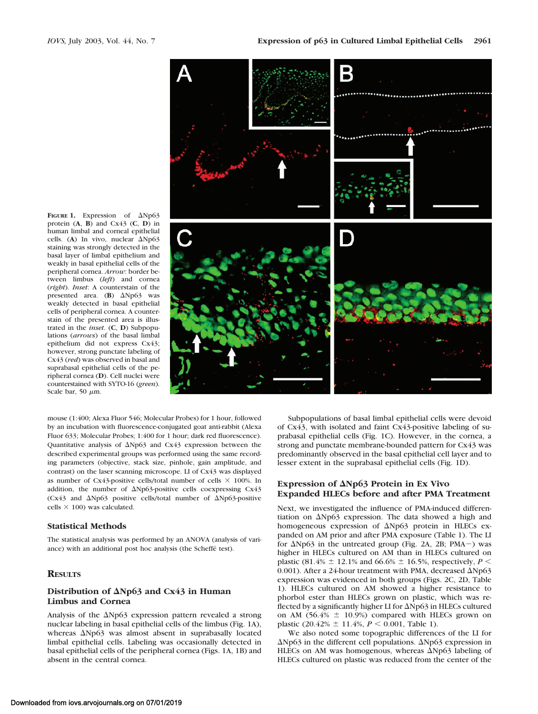

**FIGURE 1.** Expression of  $\Delta Np63$ protein (**A**, **B**) and Cx43 (**C**, **D**) in human limbal and corneal epithelial cells. (A) In vivo, nuclear  $\Delta Np63$ staining was strongly detected in the basal layer of limbal epithelium and weakly in basal epithelial cells of the peripheral cornea. *Arrow*: border between limbus (*left*) and cornea (*right*). *Inset*: A counterstain of the presented area.  $(B)$   $\Delta Np63$  was weakly detected in basal epithelial cells of peripheral cornea. A counterstain of the presented area is illustrated in the *inset*. (**C**, **D**) Subpopulations (*arrows*) of the basal limbal epithelium did not express Cx43; however, strong punctate labeling of Cx43 (*red*) was observed in basal and suprabasal epithelial cells of the peripheral cornea (**D**). Cell nuclei were counterstained with SYTO-16 (*green*). Scale bar, 50  $\mu$ m.

mouse (1:400; Alexa Fluor 546; Molecular Probes) for 1 hour, followed by an incubation with fluorescence-conjugated goat anti-rabbit (Alexa Fluor 633; Molecular Probes; 1:400 for 1 hour; dark red fluorescence). Quantitative analysis of  $\Delta Np63$  and Cx43 expression between the described experimental groups was performed using the same recording parameters (objective, stack size, pinhole, gain amplitude, and contrast) on the laser scanning microscope. LI of Cx43 was displayed as number of Cx43-positive cells/total number of cells  $\times$  100%. In addition, the number of  $\Delta Np63$ -positive cells coexpressing Cx43 (Cx43 and Np63 positive cells/total number of Np63-positive cells  $\times$  100) was calculated.

### **Statistical Methods**

The statistical analysis was performed by an ANOVA (analysis of variance) with an additional post hoc analysis (the Scheffé test).

# **RESULTS**

### **Distribution of Np63 and Cx43 in Human Limbus and Cornea**

Analysis of the  $\Delta Np63$  expression pattern revealed a strong nuclear labeling in basal epithelial cells of the limbus (Fig. 1A), whereas  $\Delta Np63$  was almost absent in suprabasally located limbal epithelial cells. Labeling was occasionally detected in basal epithelial cells of the peripheral cornea (Figs. 1A, 1B) and absent in the central cornea.

Subpopulations of basal limbal epithelial cells were devoid of Cx43, with isolated and faint Cx43-positive labeling of suprabasal epithelial cells (Fig. 1C). However, in the cornea, a strong and punctate membrane-bounded pattern for Cx43 was predominantly observed in the basal epithelial cell layer and to lesser extent in the suprabasal epithelial cells (Fig. 1D).

## **Expression of Np63 Protein in Ex Vivo Expanded HLECs before and after PMA Treatment**

Next, we investigated the influence of PMA-induced differentiation on  $\Delta Np63$  expression. The data showed a high and homogeneous expression of  $\Delta Np63$  protein in HLECs expanded on AM prior and after PMA exposure (Table 1). The LI for  $\Delta Np63$  in the untreated group (Fig. 2A, 2B; PMA $-$ ) was higher in HLECs cultured on AM than in HLECs cultured on plastic (81.4%  $\pm$  12.1% and 66.6%  $\pm$  16.5%, respectively, *P* < 0.001). After a 24-hour treatment with PMA, decreased  $\Delta Np63$ expression was evidenced in both groups (Figs. 2C, 2D, Table 1). HLECs cultured on AM showed a higher resistance to phorbol ester than HLECs grown on plastic, which was reflected by a significantly higher LI for  $\Delta Np63$  in HLECs cultured on AM (56.4%  $\pm$  10.9%) compared with HLECs grown on plastic  $(20.42\% \pm 11.4\%, P \le 0.001,$  Table 1).

We also noted some topographic differences of the LI for  $\Delta Np63$  in the different cell populations.  $\Delta Np63$  expression in HLECs on AM was homogenous, whereas  $\Delta Np63$  labeling of HLECs cultured on plastic was reduced from the center of the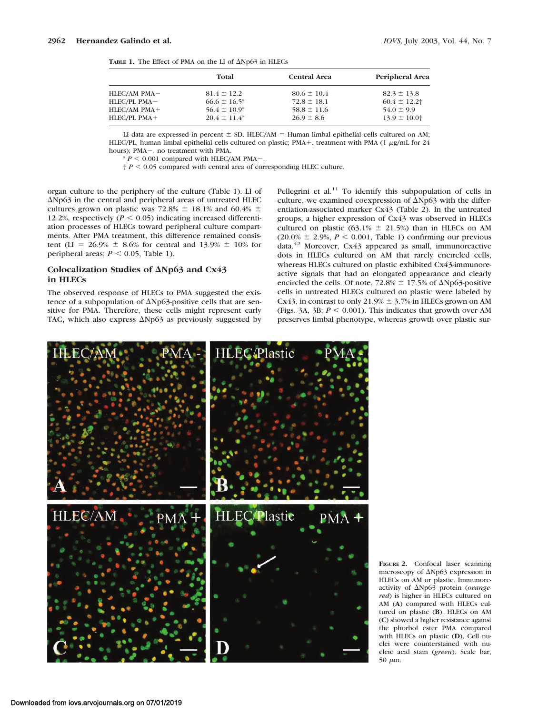| <b>TABLE 1.</b> The Effect of PMA on the LI of $\Delta Np63$ in HLECs |  |  |  |  |  |
|-----------------------------------------------------------------------|--|--|--|--|--|

|              | Total             | <b>Central Area</b> | Peripheral Area |
|--------------|-------------------|---------------------|-----------------|
| HLEC/AM PMA- | $81.4 \pm 12.2$   | $80.6 \pm 10.4$     | $82.3 \pm 13.8$ |
| HLEC/PL PMA- | $66.6 \pm 16.5^*$ | $72.8 \pm 18.1$     | $60.4 \pm 12.2$ |
| HLEC/AM PMA+ | $56.4 \pm 10.9^*$ | $58.8 \pm 11.6$     | $54.0 \pm 9.9$  |
| HLEC/PL PMA+ | $20.4 \pm 11.4^*$ | $26.9 \pm 8.6$      | $13.9 \pm 10.0$ |

LI data are expressed in percent  $\pm$  SD. HLEC/AM = Human limbal epithelial cells cultured on AM; HLEC/PL, human limbal epithelial cells cultured on plastic; PMA+, treatment with PMA (1  $\mu$ g/mL for 24 hours): PMA-, no treatment with PMA.

 $* P < 0.001$  compared with HLEC/AM PMA-.

 $\uparrow$  *P* < 0.05 compared with central area of corresponding HLEC culture.

organ culture to the periphery of the culture (Table 1). LI of Np63 in the central and peripheral areas of untreated HLEC cultures grown on plastic was 72.8%  $\pm$  18.1% and 60.4%  $\pm$ 12.2%, respectively  $(P < 0.05)$  indicating increased differentiation processes of HLECs toward peripheral culture compartments. After PMA treatment, this difference remained consistent (LI = 26.9%  $\pm$  8.6% for central and 13.9%  $\pm$  10% for peripheral areas;  $P \le 0.05$ , Table 1).

# **Colocalization Studies of Np63 and Cx43 in HLECs**

The observed response of HLECs to PMA suggested the existence of a subpopulation of  $\Delta$ Np63-positive cells that are sensitive for PMA. Therefore, these cells might represent early TAC, which also express  $\Delta Np63$  as previously suggested by Pellegrini et al.<sup>11</sup> To identify this subpopulation of cells in culture, we examined coexpression of  $\Delta Np63$  with the differentiation-associated marker Cx43 (Table 2). In the untreated groups, a higher expression of Cx43 was observed in HLECs cultured on plastic (63.1%  $\pm$  21.5%) than in HLECs on AM  $(20.0\% \pm 2.9\%, P \le 0.001,$  Table 1) confirming our previous data.<sup>42</sup> Moreover, Cx43 appeared as small, immunoreactive dots in HLECs cultured on AM that rarely encircled cells, whereas HLECs cultured on plastic exhibited Cx43-immunoreactive signals that had an elongated appearance and clearly encircled the cells. Of note,  $72.8\% \pm 17.5\%$  of  $\Delta Np63$ -positive cells in untreated HLECs cultured on plastic were labeled by Cx43, in contrast to only 21.9%  $\pm$  3.7% in HLECs grown on AM (Figs. 3A, 3B;  $P \le 0.001$ ). This indicates that growth over AM preserves limbal phenotype, whereas growth over plastic sur-



**FIGURE 2.** Confocal laser scanning microscopy of Np63 expression in HLECs on AM or plastic. Immunoreactivity of Np63 protein (*orangered*) is higher in HLECs cultured on AM (**A**) compared with HLECs cultured on plastic (**B**). HLECs on AM (**C**) showed a higher resistance against the phorbol ester PMA compared with HLECs on plastic (**D**). Cell nuclei were counterstained with nucleic acid stain (*green*). Scale bar, 50  $\mu$ m.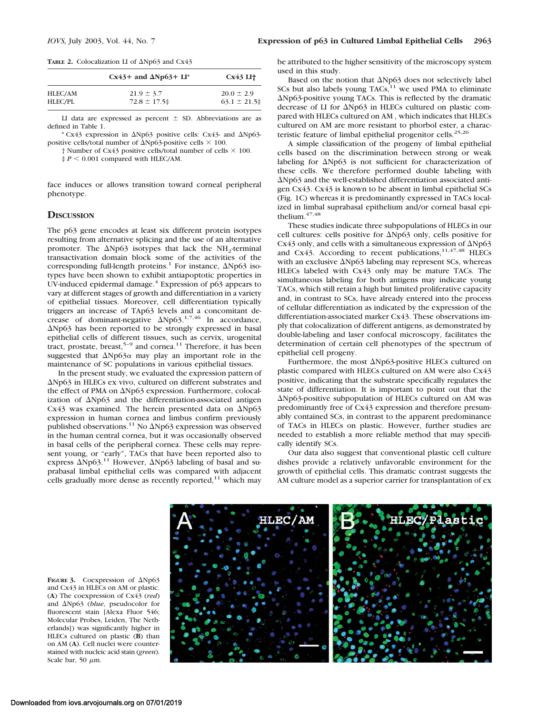#### TABLE 2. Colocalization LI of  $\Delta Np63$  and Cx43

|         | $Cx43+$ and $\Delta Np63+LI^*$ | Cx43 LI <sub>1</sub> |  |  |
|---------|--------------------------------|----------------------|--|--|
| HLEC/AM | $21.9 \pm 3.7$                 | $20.0 \pm 2.9$       |  |  |
| HLEC/PL | $72.8 \pm 17.5$                | $63.1 \pm 21.5$      |  |  |
|         |                                |                      |  |  |

LI data are expressed as percent  $\pm$  SD. Abbreviations are as defined in Table 1.

\* Cx43 expression in  $\Delta Np63$  positive cells: Cx43- and  $\Delta Np63$ positive cells/total number of  $\Delta$ Np63-positive cells  $\times$  100.

 $\dagger$  Number of Cx43 positive cells/total number of cells  $\times$  100.

 $\sharp P$  < 0.001 compared with HLEC/AM.

face induces or allows transition toward corneal peripheral phenotype.

## **DISCUSSION**

The p63 gene encodes at least six different protein isotypes resulting from alternative splicing and the use of an alternative promoter. The  $\Delta Np63$  isotypes that lack the NH<sub>2</sub>-terminal transactivation domain block some of the activities of the corresponding full-length proteins.<sup>1</sup> For instance,  $\Delta Np63$  isotypes have been shown to exhibit antiapoptotic properties in UV-induced epidermal damage. $4$  Expression of p63 appears to vary at different stages of growth and differentiation in a variety of epithelial tissues. Moreover, cell differentiation typically triggers an increase of TAp63 levels and a concomitant decrease of dominant-negative  $\Delta Np63$ .<sup>1,7,46</sup> In accordance,  $\Delta$ Np63 has been reported to be strongly expressed in basal epithelial cells of different tissues, such as cervix, urogenital tract, prostate, breast,<sup>5-9</sup> and cornea.<sup>11</sup> Therefore, it has been suggested that  $\Delta Np63\alpha$  may play an important role in the maintenance of SC populations in various epithelial tissues.

In the present study, we evaluated the expression pattern of Np63 in HLECs ex vivo, cultured on different substrates and the effect of PMA on  $\Delta Np63$  expression. Furthermore, colocalization of  $\Delta Np63$  and the differentiation-associated antigen Cx43 was examined. The herein presented data on  $\Delta Np63$ expression in human cornea and limbus confirm previously published observations.<sup>11</sup> No  $\Delta$ Np63 expression was observed in the human central cornea, but it was occasionally observed in basal cells of the peripheral cornea. These cells may represent young, or "early", TACs that have been reported also to express  $\Delta Np63$ .<sup>11</sup> However,  $\Delta Np63$  labeling of basal and suprabasal limbal epithelial cells was compared with adjacent cells gradually more dense as recently reported, $11$  which may

be attributed to the higher sensitivity of the microscopy system used in this study.

Based on the notion that  $\Delta Np63$  does not selectively label SCs but also labels young  $TACS<sub>11</sub><sup>11</sup>$  we used PMA to eliminate  $\Delta$ Np63-positive young TACs. This is reflected by the dramatic decrease of LI for  $\Delta Np63$  in HLECs cultured on plastic compared with HLECs cultured on AM , which indicates that HLECs cultured on AM are more resistant to phorbol ester, a characteristic feature of limbal epithelial progenitor cells.<sup>25,26</sup>

A simple classification of the progeny of limbal epithelial cells based on the discrimination between strong or weak labeling for  $\Delta Np63$  is not sufficient for characterization of these cells. We therefore performed double labeling with Np63 and the well-established differentiation associated antigen Cx43. Cx43 is known to be absent in limbal epithelial SCs (Fig. 1C) whereas it is predominantly expressed in TACs localized in limbal suprabasal epithelium and/or corneal basal epithelium. $47,48$ 

These studies indicate three subpopulations of HLECs in our cell cultures: cells positive for  $\Delta Np63$  only, cells positive for Cx43 only, and cells with a simultaneous expression of  $\Delta Np63$ and Cx43. According to recent publications,  $11,47,48$  HLECs with an exclusive  $\Delta Np63$  labeling may represent SCs, whereas HLECs labeled with Cx43 only may be mature TACs. The simultaneous labeling for both antigens may indicate young TACs, which still retain a high but limited proliferative capacity and, in contrast to SCs, have already entered into the process of cellular differentiation as indicated by the expression of the differentiation-associated marker Cx43. These observations imply that colocalization of different antigens, as demonstrated by double-labeling and laser confocal microscopy, facilitates the determination of certain cell phenotypes of the spectrum of epithelial cell progeny.

Furthermore, the most  $\Delta$ Np63-positive HLECs cultured on plastic compared with HLECs cultured on AM were also Cx43 positive, indicating that the substrate specifically regulates the state of differentiation. It is important to point out that the Np63-positive subpopulation of HLECs cultured on AM was predominantly free of Cx43 expression and therefore presumably contained SCs, in contrast to the apparent predominance of TACs in HLECs on plastic. However, further studies are needed to establish a more reliable method that may specifically identify SCs.

Our data also suggest that conventional plastic cell culture dishes provide a relatively unfavorable environment for the growth of epithelial cells. This dramatic contrast suggests the AM culture model as a superior carrier for transplantation of ex

FIGURE 3. Coexpression of  $\Delta Np63$ and Cx43 in HLECs on AM or plastic. (**A**) The coexpression of Cx43 (*red*) and Np63 (*blue*, pseudocolor for fluorescent stain [Alexa Fluor 546; Molecular Probes, Leiden, The Netherlands]) was significantly higher in HLECs cultured on plastic (**B**) than on AM (**A**). Cell nuclei were counterstained with nucleic acid stain (*green*). Scale bar, 50  $\mu$ m.

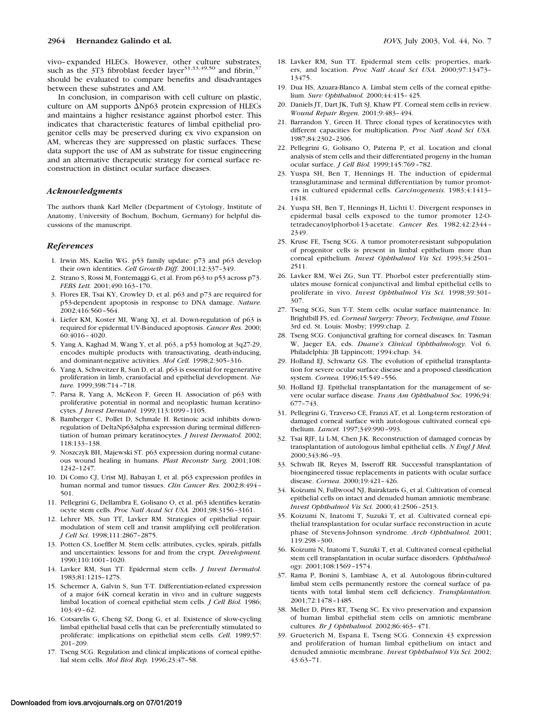vivo–expanded HLECs. However, other culture substrates, such as the 3T3 fibroblast feeder layer<sup>31,33,49,50</sup> and fibrin, $37$ should be evaluated to compare benefits and disadvantages between these substrates and AM.

In conclusion, in comparison with cell culture on plastic, culture on AM supports  $\Delta Np63$  protein expression of HLECs and maintains a higher resistance against phorbol ester. This indicates that characteristic features of limbal epithelial progenitor cells may be preserved during ex vivo expansion on AM, whereas they are suppressed on plastic surfaces. These data support the use of AM as substrate for tissue engineering and an alternative therapeutic strategy for corneal surface reconstruction in distinct ocular surface diseases.

#### *Acknowledgments*

The authors thank Karl Meller (Department of Cytology, Institute of Anatomy, University of Bochum, Bochum, Germany) for helpful discussions of the manuscript.

#### *References*

- 1. Irwin MS, Kaelin WG. p53 family update: p73 and p63 develop their own identities. *Cell Growth Diff.* 2001;12:337–349.
- 2. Strano S, Rossi M, Fontemaggi G, et al. From p63 to p53 across p73. *FEBS Lett.* 2001;490:163–170.
- 3. Flores ER, Tsai KY, Crowley D, et al. p63 and p73 are required for p53-dependent apoptosis in response to DNA damage. *Nature.* 2002;416:560–564.
- 4. Liefer KM, Koster MI, Wang XJ, et al. Down-regulation of p63 is required for epidermal UV-B-induced apoptosis. *Cancer Res.* 2000; 60:4016–4020.
- 5. Yang A, Kaghad M, Wang Y, et al. p63, a p53 homolog at 3q27-29, encodes multiple products with transactivating, death-inducing, and dominant-negative activities. *Mol Cell.* 1998;2:305–316.
- 6. Yang A, Schweitzer R, Sun D, et al. p63 is essential for regenerative proliferation in limb, craniofacial and epithelial development. *Nature.* 1999;398:714–718.
- 7. Parsa R, Yang A, McKeon F, Green H. Association of p63 with proliferative potential in normal and neoplastic human keratinocytes. *J Invest Dermatol.* 1999;113:1099–1105.
- 8. Bamberger C, Pollet D, Schmale H. Retinoic acid inhibits downregulation of DeltaNp63alpha expression during terminal differentiation of human primary keratinocytes. *J Invest Dermatol.* 2002; 118:133–138.
- 9. Noszczyk BH, Majewski ST. p63 expression during normal cutaneous wound healing in humans. *Plast Reconstr Surg.* 2001;108: 1242–1247.
- 10. Di Como CJ, Urist MJ, Babayan I, et al. p63 expression profiles in human normal and tumor tissues. *Clin Cancer Res.* 2002;8:494– 501.
- 11. Pellegrini G, Dellambra E, Golisano O, et al. p63 identifies keratinocyte stem cells. *Proc Natl Acad Sci USA.* 2001;98:3156–3161.
- 12. Lehrer MS, Sun TT, Lavker RM. Strategies of epithelial repair: modulation of stem cell and transit amplifying cell proliferation. *J Cell Sci.* 1998;111:2867–2875.
- 13. Potten CS, Loeffler M. Stem cells: attributes, cycles, spirals, pitfalls and uncertainties: lessons for and from the crypt. *Development.* 1990;110:1001–1020.
- 14. Lavker RM, Sun TT. Epidermal stem cells. *J Invest Dermatol.* 1983;81:121S–127S.
- 15. Schermer A, Galvin S, Sun T-T. Differentiation-related expression of a major 64K corneal keratin in vivo and in culture suggests limbal location of corneal epithelial stem cells. *J Cell Biol.* 1986; 103:49–62.
- 16. Cotsarelis G, Cheng SZ, Dong G, et al. Existence of slow-cycling limbal epithelial basal cells that can be preferentially stimulated to proliferate: implications on epithelial stem cells. *Cell.* 1989;57: 201–209.
- 17. Tseng SCG. Regulation and clinical implications of corneal epithelial stem cells. *Mol Biol Rep.* 1996;23:47–58.
- 18. Lavker RM, Sun TT. Epidermal stem cells: properties, markers, and location. *Proc Natl Acad Sci USA.* 2000;97:13473– 13475.
- 19. Dua HS, Azuara-Blanco A. Limbal stem cells of the corneal epithelium. *Surv Ophthalmol.* 2000;44:415–425.
- 20. Daniels JT, Dart JK, Tuft SJ, Khaw PT. Corneal stem cells in review. *Wound Repair Regen.* 2001;9:483–494.
- 21. Barrandon Y, Green H. Three clonal types of keratinocytes with different capacities for multiplication. *Proc Natl Acad Sci USA.* 1987;84:2302–2306.
- 22. Pellegrini G, Golisano O, Paterna P, et al. Location and clonal analysis of stem cells and their differentiated progeny in the human ocular surface. *J Cell Biol.* 1999;145:769–782.
- 23. Yuspa SH, Ben T, Hennings H. The induction of epidermal transglutaminase and terminal differentiation by tumor promoters in cultured epidermal cells. *Carcinogenesis.* 1983;4:1413– 1418.
- 24. Yuspa SH, Ben T, Hennings H, Lichti U. Divergent responses in epidermal basal cells exposed to the tumor promoter 12-Otetradecanoylphorbol-13-acetate. *Cancer Res.* 1982;42:2344 – 2349.
- 25. Kruse FE, Tseng SCG. A tumor promoter-resistant subpopulation of progenitor cells is present in limbal epithelium more than corneal epithelium. *Invest Ophthalmol Vis Sci.* 1993;34:2501– 2511.
- 26. Lavker RM, Wei ZG, Sun TT. Phorbol ester preferentially stimulates mouse fornical conjunctival and limbal epithelial cells to proliferate in vivo. *Invest Ophthalmol Vis Sci.* 1998;39:301– 307.
- 27. Tseng SCG, Sun T-T. Stem cells: ocular surface maintenance. In: Brightbill FS, ed. *Corneal Surgery: Theory, Technique, and Tissue.* 3rd ed. St. Louis: Mosby; 1999:chap. 2.
- 28. Tseng SCG. Conjunctival grafting for corneal diseases. In: Tasman W, Jaeger EA, eds. *Duane's Clinical Ophthalmology.* Vol 6. Philadelphia: JB Lippincott; 1994:chap. 34.
- 29. Holland EJ, Schwartz GS. The evolution of epithelial transplantation for severe ocular surface disease and a proposed classification system. *Cornea.* 1996;15:549–556.
- 30. Holland EJ. Epithelial transplantation for the management of severe ocular surface disease. *Trans Am Ophthalmol Soc.* 1996;94: 677–743.
- 31. Pellegrini G, Traverso CE, Franzi AT, et al. Long-term restoration of damaged corneal surface with autologous cultivated corneal epithelium. *Lancet.* 1997;349:990–993.
- 32. Tsai RJF, Li L-M, Chen J-K. Reconstruction of damaged corneas by transplantation of autologous limbal epithelial cells. *N Engl J Med.* 2000;343:86–93.
- 33. Schwab IR, Reyes M, Isseroff RR. Successful transplantation of bioengineered tissue replacements in patients with ocular surface disease. *Cornea.* 2000;19:421–426.
- 34. Koizumi N, Fullwood NJ, Bairaktaris G, et al. Cultivation of corneal epithelial cells on intact and denuded human amniotic membrane. *Invest Ophthalmol Vis Sci.* 2000;41:2506–2513.
- 35. Koizumi N, Inatomi T, Suzuki T, et al. Cultivated corneal epithelial transplantation for ocular surface reconstruction in acute phase of Stevens-Johnson syndrome. *Arch Ophthalmol.* 2001; 119:298 –300.
- 36. Koizumi N, Inatomi T, Suzuki T, et al. Cultivated corneal epithelial stem cell transplantation in ocular surface disorders. *Ophthalmology.* 2001;108:1569–1574.
- 37. Rama P, Bonini S, Lambiase A, et al. Autologous fibrin-cultured limbal stem cells permanently restore the corneal surface of patients with total limbal stem cell deficiency. *Transplantation.* 2001;72:1478–1485.
- 38. Meller D, Pires RT, Tseng SC. Ex vivo preservation and expansion of human limbal epithelial stem cells on amniotic membrane cultures. *Br J Ophthalmol.* 2002;86:463–471.
- 39. Grueterich M, Espana E, Tseng SCG. Connexin 43 expression and proliferation of human limbal epithelium on intact and denuded amniotic membrane. *Invest Ophthalmol Vis Sci.* 2002; 43:63–71.